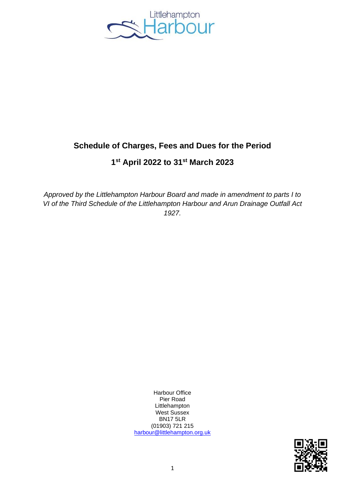

# **Schedule of Charges, Fees and Dues for the Period**

# **1 st April 2022 to 31st March 2023**

*Approved by the Littlehampton Harbour Board and made in amendment to parts I to VI of the Third Schedule of the Littlehampton Harbour and Arun Drainage Outfall Act 1927.*

> Harbour Office Pier Road Littlehampton West Sussex BN17 5LR (01903) 721 215 [harbour@littlehampton.org.uk](mailto:harbour@littlehampton.org.uk)

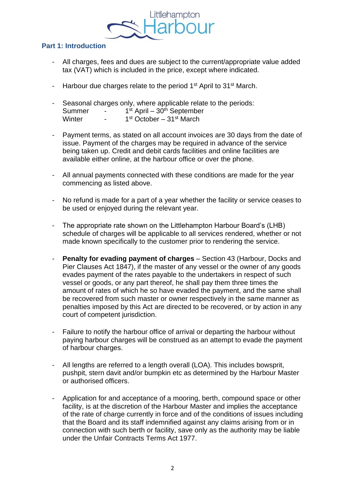

## **Part 1: Introduction**

- All charges, fees and dues are subject to the current/appropriate value added tax (VAT) which is included in the price, except where indicated.
- Harbour due charges relate to the period 1<sup>st</sup> April to 31<sup>st</sup> March.
- Seasonal charges only, where applicable relate to the periods: Summer -<sup>st</sup> April – 30<sup>th</sup> September Winter  $1<sup>st</sup>$  October –  $31<sup>st</sup>$  March
- Payment terms, as stated on all account invoices are 30 days from the date of issue. Payment of the charges may be required in advance of the service being taken up. Credit and debit cards facilities and online facilities are available either online, at the harbour office or over the phone.
- All annual payments connected with these conditions are made for the year commencing as listed above.
- No refund is made for a part of a year whether the facility or service ceases to be used or enjoyed during the relevant year.
- The appropriate rate shown on the Littlehampton Harbour Board's (LHB) schedule of charges will be applicable to all services rendered, whether or not made known specifically to the customer prior to rendering the service.
- **Penalty for evading payment of charges** Section 43 (Harbour, Docks and Pier Clauses Act 1847), if the master of any vessel or the owner of any goods evades payment of the rates payable to the undertakers in respect of such vessel or goods, or any part thereof, he shall pay them three times the amount of rates of which he so have evaded the payment, and the same shall be recovered from such master or owner respectively in the same manner as penalties imposed by this Act are directed to be recovered, or by action in any court of competent jurisdiction.
- Failure to notify the harbour office of arrival or departing the harbour without paying harbour charges will be construed as an attempt to evade the payment of harbour charges.
- All lengths are referred to a length overall (LOA). This includes bowsprit, pushpit, stern davit and/or bumpkin etc as determined by the Harbour Master or authorised officers.
- Application for and acceptance of a mooring, berth, compound space or other facility, is at the discretion of the Harbour Master and implies the acceptance of the rate of charge currently in force and of the conditions of issues including that the Board and its staff indemnified against any claims arising from or in connection with such berth or facility, save only as the authority may be liable under the Unfair Contracts Terms Act 1977.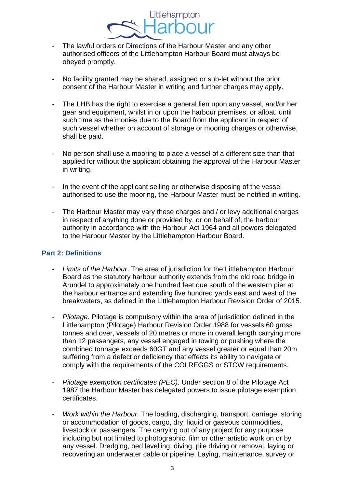- The lawful orders or Directions of the Harbour Master and any other authorised officers of the Littlehampton Harbour Board must always be obeyed promptly.
- No facility granted may be shared, assigned or sub-let without the prior consent of the Harbour Master in writing and further charges may apply.
- The LHB has the right to exercise a general lien upon any vessel, and/or her gear and equipment, whilst in or upon the harbour premises, or afloat, until such time as the monies due to the Board from the applicant in respect of such vessel whether on account of storage or mooring charges or otherwise, shall be paid.
- No person shall use a mooring to place a vessel of a different size than that applied for without the applicant obtaining the approval of the Harbour Master in writing.
- In the event of the applicant selling or otherwise disposing of the vessel authorised to use the mooring, the Harbour Master must be notified in writing.
- The Harbour Master may vary these charges and / or levy additional charges in respect of anything done or provided by, or on behalf of, the harbour authority in accordance with the Harbour Act 1964 and all powers delegated to the Harbour Master by the Littlehampton Harbour Board.

## **Part 2: Definitions**

- *Limits of the Harbour*. The area of jurisdiction for the Littlehampton Harbour Board as the statutory harbour authority extends from the old road bridge in Arundel to approximately one hundred feet due south of the western pier at the harbour entrance and extending five hundred yards east and west of the breakwaters, as defined in the Littlehampton Harbour Revision Order of 2015.
- *Pilotage.* Pilotage is compulsory within the area of jurisdiction defined in the Littlehampton (Pilotage) Harbour Revision Order 1988 for vessels 60 gross tonnes and over, vessels of 20 metres or more in overall length carrying more than 12 passengers, any vessel engaged in towing or pushing where the combined tonnage exceeds 60GT and any vessel greater or equal than 20m suffering from a defect or deficiency that effects its ability to navigate or comply with the requirements of the COLREGGS or STCW requirements.
- *Pilotage exemption certificates (PEC).* Under section 8 of the Pilotage Act 1987 the Harbour Master has delegated powers to issue pilotage exemption certificates.
- *Work within the Harbour.* The loading, discharging, transport, carriage, storing or accommodation of goods, cargo, dry, liquid or gaseous commodities, livestock or passengers. The carrying out of any project for any purpose including but not limited to photographic, film or other artistic work on or by any vessel. Dredging, bed levelling, diving, pile driving or removal, laying or recovering an underwater cable or pipeline. Laying, maintenance, survey or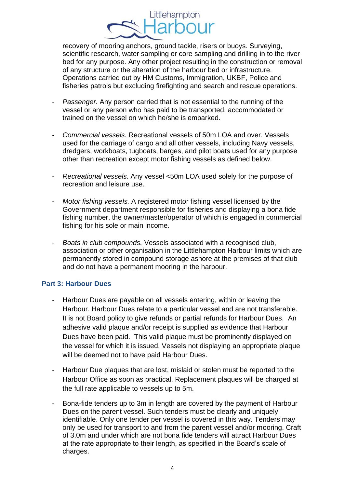recovery of mooring anchors, ground tackle, risers or buoys. Surveying, scientific research, water sampling or core sampling and drilling in to the river bed for any purpose. Any other project resulting in the construction or removal of any structure or the alteration of the harbour bed or infrastructure. Operations carried out by HM Customs, Immigration, UKBF, Police and fisheries patrols but excluding firefighting and search and rescue operations.

- *Passenger.* Any person carried that is not essential to the running of the vessel or any person who has paid to be transported, accommodated or trained on the vessel on which he/she is embarked.
- *Commercial vessels.* Recreational vessels of 50m LOA and over. Vessels used for the carriage of cargo and all other vessels, including Navy vessels, dredgers, workboats, tugboats, barges, and pilot boats used for any purpose other than recreation except motor fishing vessels as defined below.
- *Recreational vessels.* Any vessel <50m LOA used solely for the purpose of recreation and leisure use.
- *Motor fishing vessels.* A registered motor fishing vessel licensed by the Government department responsible for fisheries and displaying a bona fide fishing number, the owner/master/operator of which is engaged in commercial fishing for his sole or main income.
- *Boats in club compounds.* Vessels associated with a recognised club, association or other organisation in the Littlehampton Harbour limits which are permanently stored in compound storage ashore at the premises of that club and do not have a permanent mooring in the harbour.

#### **Part 3: Harbour Dues**

- Harbour Dues are payable on all vessels entering, within or leaving the Harbour. Harbour Dues relate to a particular vessel and are not transferable. It is not Board policy to give refunds or partial refunds for Harbour Dues. An adhesive valid plaque and/or receipt is supplied as evidence that Harbour Dues have been paid. This valid plaque must be prominently displayed on the vessel for which it is issued. Vessels not displaying an appropriate plaque will be deemed not to have paid Harbour Dues.
- Harbour Due plaques that are lost, mislaid or stolen must be reported to the Harbour Office as soon as practical. Replacement plaques will be charged at the full rate applicable to vessels up to 5m.
- Bona-fide tenders up to 3m in length are covered by the payment of Harbour Dues on the parent vessel. Such tenders must be clearly and uniquely identifiable. Only one tender per vessel is covered in this way. Tenders may only be used for transport to and from the parent vessel and/or mooring. Craft of 3.0m and under which are not bona fide tenders will attract Harbour Dues at the rate appropriate to their length, as specified in the Board's scale of charges.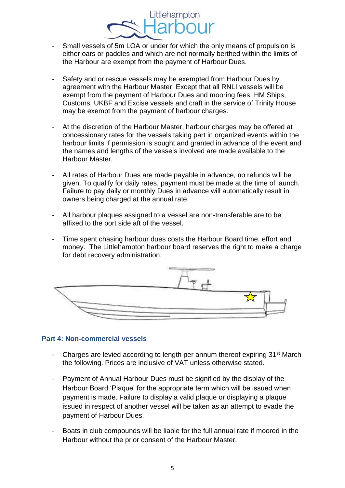- Small vessels of 5m LOA or under for which the only means of propulsion is either oars or paddles and which are not normally berthed within the limits of the Harbour are exempt from the payment of Harbour Dues.
- Safety and or rescue vessels may be exempted from Harbour Dues by agreement with the Harbour Master. Except that all RNLI vessels will be exempt from the payment of Harbour Dues and mooring fees. HM Ships, Customs, UKBF and Excise vessels and craft in the service of Trinity House may be exempt from the payment of harbour charges.
- At the discretion of the Harbour Master, harbour charges may be offered at concessionary rates for the vessels taking part in organized events within the harbour limits if permission is sought and granted in advance of the event and the names and lengths of the vessels involved are made available to the Harbour Master.
- All rates of Harbour Dues are made payable in advance, no refunds will be given. To qualify for daily rates, payment must be made at the time of launch. Failure to pay daily or monthly Dues in advance will automatically result in owners being charged at the annual rate.
- All harbour plaques assigned to a vessel are non-transferable are to be affixed to the port side aft of the vessel.
- Time spent chasing harbour dues costs the Harbour Board time, effort and money. The Littlehampton harbour board reserves the right to make a charge for debt recovery administration.



#### **Part 4: Non-commercial vessels**

- Charges are levied according to length per annum thereof expiring 31<sup>st</sup> March the following. Prices are inclusive of VAT unless otherwise stated.
- Payment of Annual Harbour Dues must be signified by the display of the Harbour Board 'Plaque' for the appropriate term which will be issued when payment is made. Failure to display a valid plaque or displaying a plaque issued in respect of another vessel will be taken as an attempt to evade the payment of Harbour Dues.
- Boats in club compounds will be liable for the full annual rate if moored in the Harbour without the prior consent of the Harbour Master.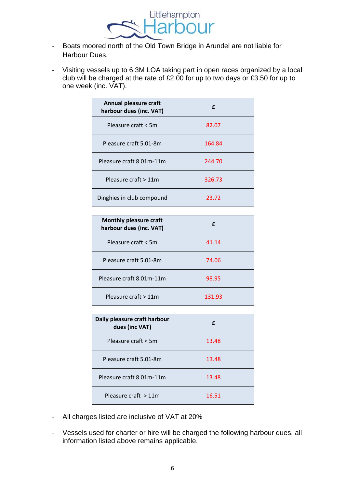

- Boats moored north of the Old Town Bridge in Arundel are not liable for Harbour Dues.
- Visiting vessels up to 6.3M LOA taking part in open races organized by a local club will be charged at the rate of £2.00 for up to two days or £3.50 for up to one week (inc. VAT).

| Annual pleasure craft<br>harbour dues (inc. VAT) | f      |
|--------------------------------------------------|--------|
| Pleasure craft < 5m                              | 82.07  |
| Pleasure craft 5.01-8m                           | 164.84 |
| Pleasure craft 8.01m-11m                         | 244.70 |
| Pleasure craft > 11m                             | 326.73 |
| Dinghies in club compound                        | 23.72  |

| <b>Monthly pleasure craft</b><br>harbour dues (inc. VAT) |        |
|----------------------------------------------------------|--------|
| Pleasure craft < 5m                                      | 41.14  |
| Pleasure craft 5.01-8m                                   | 74.06  |
| Pleasure craft 8.01m-11m                                 | 98.95  |
| Pleasure craft > 11m                                     | 131.93 |

| Daily pleasure craft harbour<br>dues (inc VAT) | f     |
|------------------------------------------------|-------|
| Pleasure craft < 5m                            | 13.48 |
| Pleasure craft 5.01-8m                         | 13.48 |
| Pleasure craft 8.01m-11m                       | 13.48 |
| Pleasure craft $>11m$                          | 16.51 |

- All charges listed are inclusive of VAT at 20%
- Vessels used for charter or hire will be charged the following harbour dues, all information listed above remains applicable.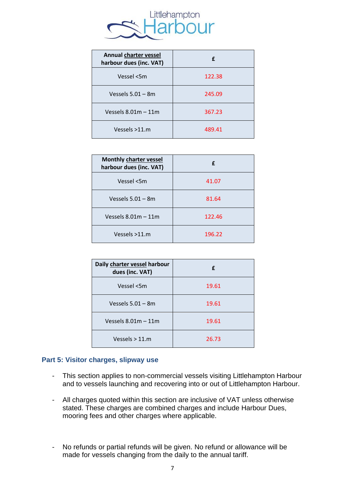

| <b>Annual charter vessel</b><br>harbour dues (inc. VAT) | f      |
|---------------------------------------------------------|--------|
| Vessel <5m                                              | 122.38 |
| Vessels $5.01 - 8m$                                     | 245.09 |
| Vessels $8.01m - 11m$                                   | 367.23 |
| Vessels >11.m                                           | 489.41 |

| <b>Monthly charter vessel</b><br>harbour dues (inc. VAT) | f      |
|----------------------------------------------------------|--------|
| Vessel <5m                                               | 41.07  |
| Vessels $5.01 - 8m$                                      | 81.64  |
| Vessels $8.01m - 11m$                                    | 122.46 |
| Vessels >11.m                                            | 196.22 |

| Daily charter vessel harbour<br>dues (inc. VAT) | f     |
|-------------------------------------------------|-------|
| Vessel <5m                                      | 19.61 |
| Vessels $5.01 - 8m$                             | 19.61 |
| Vessels $8.01m - 11m$                           | 19.61 |
| Vessels $> 11.m$                                | 26.73 |

#### **Part 5: Visitor charges, slipway use**

- This section applies to non-commercial vessels visiting Littlehampton Harbour and to vessels launching and recovering into or out of Littlehampton Harbour.
- All charges quoted within this section are inclusive of VAT unless otherwise stated. These charges are combined charges and include Harbour Dues, mooring fees and other charges where applicable.
- No refunds or partial refunds will be given. No refund or allowance will be made for vessels changing from the daily to the annual tariff.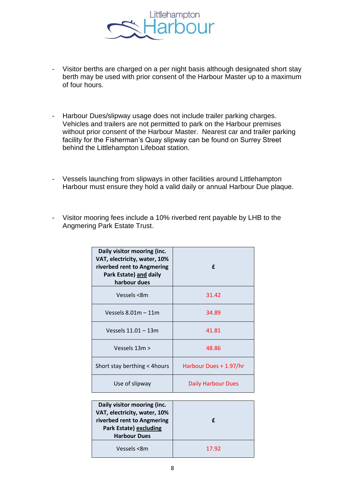

- Visitor berths are charged on a per night basis although designated short stay berth may be used with prior consent of the Harbour Master up to a maximum of four hours.
- Harbour Dues/slipway usage does not include trailer parking charges. Vehicles and trailers are not permitted to park on the Harbour premises without prior consent of the Harbour Master. Nearest car and trailer parking facility for the Fisherman's Quay slipway can be found on Surrey Street behind the Littlehampton Lifeboat station.
- Vessels launching from slipways in other facilities around Littlehampton Harbour must ensure they hold a valid daily or annual Harbour Due plaque.
- Visitor mooring fees include a 10% riverbed rent payable by LHB to the Angmering Park Estate Trust.

| Daily visitor mooring (inc.<br>VAT, electricity, water, 10%<br>riverbed rent to Angmering<br>Park Estate) and daily<br>harbour dues | f                         |
|-------------------------------------------------------------------------------------------------------------------------------------|---------------------------|
| Vessels <8m                                                                                                                         | 31.42                     |
| Vessels $8.01m - 11m$                                                                                                               | 34.89                     |
| Vessels 11.01 - 13m                                                                                                                 | 41.81                     |
| Vessels $13m >$                                                                                                                     | 48.86                     |
| Short stay berthing $<$ 4 hours                                                                                                     | Harbour Dues + 1.97/hr    |
| Use of slipway                                                                                                                      | <b>Daily Harbour Dues</b> |

| Daily visitor mooring (inc.<br>VAT, electricity, water, 10%<br>riverbed rent to Angmering<br><b>Park Estate) excluding</b><br><b>Harbour Dues</b> | £     |
|---------------------------------------------------------------------------------------------------------------------------------------------------|-------|
| Vessels <8m                                                                                                                                       | 17.92 |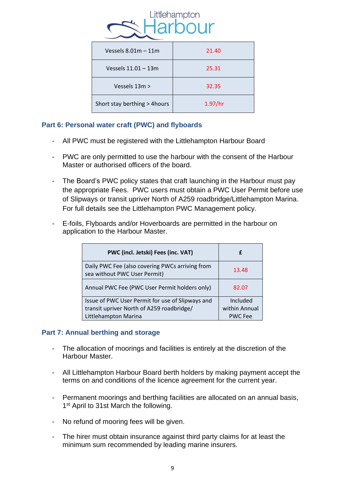

| Vessels $8.01m - 11m$         | 21.40   |
|-------------------------------|---------|
| Vessels 11.01 - 13m           | 25.31   |
| Vessels 13m >                 | 32.35   |
| Short stay berthing > 4 hours | 1.97/hr |

## **Part 6: Personal water craft (PWC) and flyboards**

- All PWC must be registered with the Littlehampton Harbour Board
- PWC are only permitted to use the harbour with the consent of the Harbour Master or authorised officers of the board.
- The Board's PWC policy states that craft launching in the Harbour must pay the appropriate Fees. PWC users must obtain a PWC User Permit before use of Slipways or transit upriver North of A259 roadbridge/Littlehampton Marina. For full details see the Littlehampton PWC Management policy.
- E-foils, Flyboards and/or Hoverboards are permitted in the harbour on application to the Harbour Master.

| PWC (incl. Jetski) Fees (inc. VAT)                                                                                    | f                                           |
|-----------------------------------------------------------------------------------------------------------------------|---------------------------------------------|
| Daily PWC Fee (also covering PWCs arriving from<br>sea without PWC User Permit)                                       | 13.48                                       |
| Annual PWC Fee (PWC User Permit holders only)                                                                         | 82.07                                       |
| Issue of PWC User Permit for use of Slipways and<br>transit upriver North of A259 roadbridge/<br>Littlehampton Marina | Included<br>within Annual<br><b>PWC Fee</b> |

## **Part 7: Annual berthing and storage**

- The allocation of moorings and facilities is entirely at the discretion of the Harbour Master.
- All Littlehampton Harbour Board berth holders by making payment accept the terms on and conditions of the licence agreement for the current year.
- Permanent moorings and berthing facilities are allocated on an annual basis, 1<sup>st</sup> April to 31st March the following.
- No refund of mooring fees will be given.
- The hirer must obtain insurance against third party claims for at least the minimum sum recommended by leading marine insurers.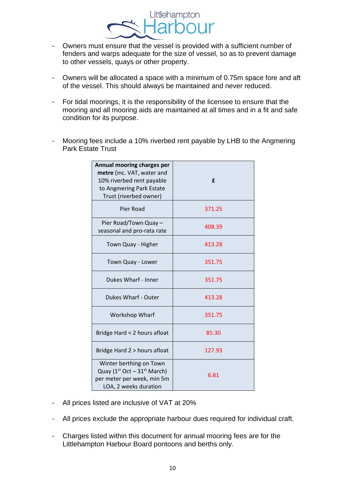

- Owners must ensure that the vessel is provided with a sufficient number of fenders and warps adequate for the size of vessel, so as to prevent damage to other vessels, quays or other property.
- Owners will be allocated a space with a minimum of 0.75m space fore and aft of the vessel. This should always be maintained and never reduced.
- For tidal moorings, it is the responsibility of the licensee to ensure that the mooring and all mooring aids are maintained at all times and in a fit and safe condition for its purpose.
- Mooring fees include a 10% riverbed rent payable by LHB to the Angmering Park Estate Trust

| Annual mooring charges per<br>metre (inc. VAT, water and<br>10% riverbed rent payable<br>to Angmering Park Estate<br>Trust (riverbed owner) | £      |
|---------------------------------------------------------------------------------------------------------------------------------------------|--------|
| Pier Road                                                                                                                                   | 371.25 |
| Pier Road/Town Quay -<br>seasonal and pro-rata rate                                                                                         | 408.39 |
| Town Quay - Higher                                                                                                                          | 413.28 |
| Town Quay - Lower                                                                                                                           | 351.75 |
| Dukes Wharf - Inner                                                                                                                         | 351.75 |
| Dukes Wharf - Outer                                                                                                                         | 413.28 |
| Workshop Wharf                                                                                                                              | 351.75 |
| Bridge Hard < 2 hours afloat                                                                                                                | 85.30  |
| Bridge Hard 2 > hours afloat                                                                                                                | 127.93 |
| Winter berthing on Town<br>Quay ( $1st Oct - 31st March$ )<br>per meter per week, min 5m<br>LOA, 2 weeks duration                           | 6.81   |

- All prices listed are inclusive of VAT at 20%
- All prices exclude the appropriate harbour dues required for individual craft.
- Charges listed within this document for annual mooring fees are for the Littlehampton Harbour Board pontoons and berths only.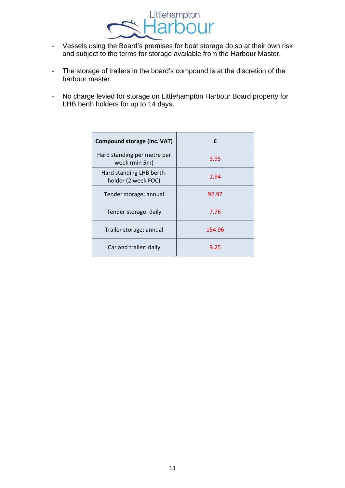

- Vessels using the Board's premises for boat storage do so at their own risk and subject to the terms for storage available from the Harbour Master.
- The storage of trailers in the board's compound is at the discretion of the harbour master.
- No charge levied for storage on Littlehampton Harbour Board property for LHB berth holders for up to 14 days.

| <b>Compound storage (inc. VAT)</b>              | f      |
|-------------------------------------------------|--------|
| Hard standing per metre per<br>week (min 5m)    | 3.95   |
| Hard standing LHB berth-<br>holder (2 week FOC) | 1.94   |
| Tender storage: annual                          | 92.97  |
| Tender storage: daily                           | 7.76   |
| Trailer storage: annual                         | 154.96 |
| Car and trailer: daily                          | 9.25   |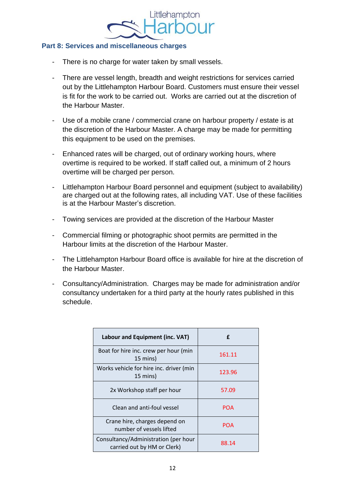#### **Part 8: Services and miscellaneous charges**

- There is no charge for water taken by small vessels.
- There are vessel length, breadth and weight restrictions for services carried out by the Littlehampton Harbour Board. Customers must ensure their vessel is fit for the work to be carried out. Works are carried out at the discretion of the Harbour Master.
- Use of a mobile crane / commercial crane on harbour property / estate is at the discretion of the Harbour Master. A charge may be made for permitting this equipment to be used on the premises.
- Enhanced rates will be charged, out of ordinary working hours, where overtime is required to be worked. If staff called out, a minimum of 2 hours overtime will be charged per person.
- Littlehampton Harbour Board personnel and equipment (subject to availability) are charged out at the following rates, all including VAT. Use of these facilities is at the Harbour Master's discretion.
- Towing services are provided at the discretion of the Harbour Master
- Commercial filming or photographic shoot permits are permitted in the Harbour limits at the discretion of the Harbour Master.
- The Littlehampton Harbour Board office is available for hire at the discretion of the Harbour Master.
- Consultancy/Administration. Charges may be made for administration and/or consultancy undertaken for a third party at the hourly rates published in this schedule.

| Labour and Equipment (inc. VAT)                                     | £      |
|---------------------------------------------------------------------|--------|
| Boat for hire inc. crew per hour (min<br>15 mins)                   | 161.11 |
| Works vehicle for hire inc. driver (min<br>15 mins)                 | 123.96 |
| 2x Workshop staff per hour                                          | 57.09  |
| Clean and anti-foul vessel                                          | POA    |
| Crane hire, charges depend on<br>number of vessels lifted           | POA    |
| Consultancy/Administration (per hour<br>carried out by HM or Clerk) | 88.14  |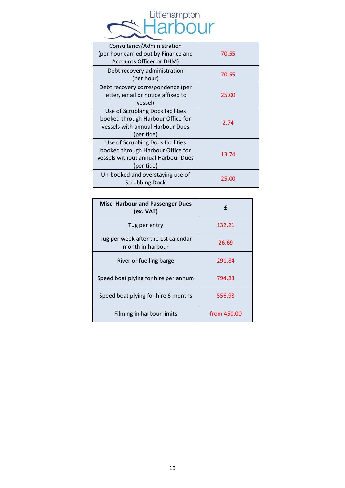

| Consultancy/Administration<br>(per hour carried out by Finance and<br>Accounts Officer or DHM)                             | 70.55 |
|----------------------------------------------------------------------------------------------------------------------------|-------|
| Debt recovery administration<br>(per hour)                                                                                 | 70.55 |
| Debt recovery correspondence (per<br>letter, email or notice affixed to<br>vessel)                                         | 25.00 |
| Use of Scrubbing Dock facilities<br>booked through Harbour Office for<br>vessels with annual Harbour Dues<br>(per tide)    | 2.74  |
| Use of Scrubbing Dock facilities<br>booked through Harbour Office for<br>vessels without annual Harbour Dues<br>(per tide) | 13.74 |
| Un-booked and overstaying use of<br><b>Scrubbing Dock</b>                                                                  | 25.00 |

| <b>Misc. Harbour and Passenger Dues</b><br>(ex. VAT)    | f           |
|---------------------------------------------------------|-------------|
| Tug per entry                                           | 132.21      |
| Tug per week after the 1st calendar<br>month in harbour | 26.69       |
| River or fuelling barge                                 | 291.84      |
| Speed boat plying for hire per annum                    | 794.83      |
| Speed boat plying for hire 6 months                     | 556.98      |
| Filming in harbour limits                               | from 450.00 |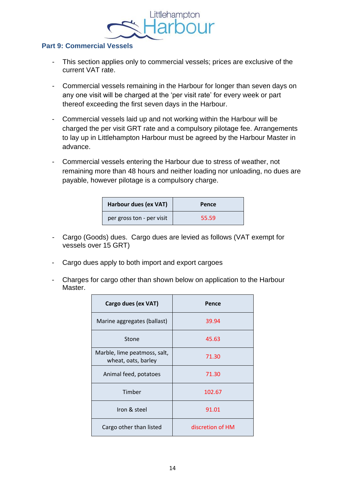

#### **Part 9: Commercial Vessels**

- This section applies only to commercial vessels; prices are exclusive of the current VAT rate.
- Commercial vessels remaining in the Harbour for longer than seven days on any one visit will be charged at the 'per visit rate' for every week or part thereof exceeding the first seven days in the Harbour.
- Commercial vessels laid up and not working within the Harbour will be charged the per visit GRT rate and a compulsory pilotage fee. Arrangements to lay up in Littlehampton Harbour must be agreed by the Harbour Master in advance.
- Commercial vessels entering the Harbour due to stress of weather, not remaining more than 48 hours and neither loading nor unloading, no dues are payable, however pilotage is a compulsory charge.

| Harbour dues (ex VAT)     | Pence |
|---------------------------|-------|
| per gross ton - per visit | 55.59 |

- Cargo (Goods) dues. Cargo dues are levied as follows (VAT exempt for vessels over 15 GRT)
- Cargo dues apply to both import and export cargoes
- Charges for cargo other than shown below on application to the Harbour Master.

| Cargo dues (ex VAT)                                 | Pence            |
|-----------------------------------------------------|------------------|
| Marine aggregates (ballast)                         | 39.94            |
| Stone                                               | 45.63            |
| Marble, lime peatmoss, salt,<br>wheat, oats, barley | 71.30            |
| Animal feed, potatoes                               | 71.30            |
| Timber                                              | 102.67           |
| Iron & steel                                        | 91.01            |
| Cargo other than listed                             | discretion of HM |